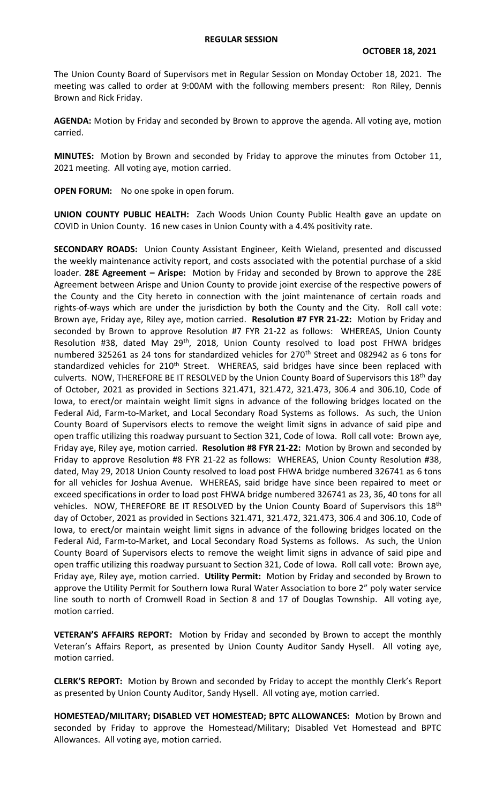The Union County Board of Supervisors met in Regular Session on Monday October 18, 2021. The meeting was called to order at 9:00AM with the following members present: Ron Riley, Dennis Brown and Rick Friday.

**AGENDA:** Motion by Friday and seconded by Brown to approve the agenda. All voting aye, motion carried.

**MINUTES:** Motion by Brown and seconded by Friday to approve the minutes from October 11, 2021 meeting. All voting aye, motion carried.

**OPEN FORUM:** No one spoke in open forum.

**UNION COUNTY PUBLIC HEALTH:** Zach Woods Union County Public Health gave an update on COVID in Union County. 16 new cases in Union County with a 4.4% positivity rate.

**SECONDARY ROADS:** Union County Assistant Engineer, Keith Wieland, presented and discussed the weekly maintenance activity report, and costs associated with the potential purchase of a skid loader. **28E Agreement – Arispe:** Motion by Friday and seconded by Brown to approve the 28E Agreement between Arispe and Union County to provide joint exercise of the respective powers of the County and the City hereto in connection with the joint maintenance of certain roads and rights-of-ways which are under the jurisdiction by both the County and the City. Roll call vote: Brown aye, Friday aye, Riley aye, motion carried. **Resolution #7 FYR 21-22:** Motion by Friday and seconded by Brown to approve Resolution #7 FYR 21-22 as follows: WHEREAS, Union County Resolution #38, dated May 29<sup>th</sup>, 2018, Union County resolved to load post FHWA bridges numbered 325261 as 24 tons for standardized vehicles for 270<sup>th</sup> Street and 082942 as 6 tons for standardized vehicles for  $210<sup>th</sup>$  Street. WHEREAS, said bridges have since been replaced with culverts. NOW, THEREFORE BE IT RESOLVED by the Union County Board of Supervisors this 18<sup>th</sup> day of October, 2021 as provided in Sections 321.471, 321.472, 321.473, 306.4 and 306.10, Code of Iowa, to erect/or maintain weight limit signs in advance of the following bridges located on the Federal Aid, Farm-to-Market, and Local Secondary Road Systems as follows. As such, the Union County Board of Supervisors elects to remove the weight limit signs in advance of said pipe and open traffic utilizing this roadway pursuant to Section 321, Code of Iowa. Roll call vote: Brown aye, Friday aye, Riley aye, motion carried. **Resolution #8 FYR 21-22:** Motion by Brown and seconded by Friday to approve Resolution #8 FYR 21-22 as follows: WHEREAS, Union County Resolution #38, dated, May 29, 2018 Union County resolved to load post FHWA bridge numbered 326741 as 6 tons for all vehicles for Joshua Avenue. WHEREAS, said bridge have since been repaired to meet or exceed specifications in order to load post FHWA bridge numbered 326741 as 23, 36, 40 tons for all vehicles. NOW, THEREFORE BE IT RESOLVED by the Union County Board of Supervisors this 18<sup>th</sup> day of October, 2021 as provided in Sections 321.471, 321.472, 321.473, 306.4 and 306.10, Code of Iowa, to erect/or maintain weight limit signs in advance of the following bridges located on the Federal Aid, Farm-to-Market, and Local Secondary Road Systems as follows. As such, the Union County Board of Supervisors elects to remove the weight limit signs in advance of said pipe and open traffic utilizing this roadway pursuant to Section 321, Code of Iowa. Roll call vote: Brown aye, Friday aye, Riley aye, motion carried. **Utility Permit:** Motion by Friday and seconded by Brown to approve the Utility Permit for Southern Iowa Rural Water Association to bore 2" poly water service line south to north of Cromwell Road in Section 8 and 17 of Douglas Township. All voting aye, motion carried.

**VETERAN'S AFFAIRS REPORT:** Motion by Friday and seconded by Brown to accept the monthly Veteran's Affairs Report, as presented by Union County Auditor Sandy Hysell. All voting aye, motion carried.

**CLERK'S REPORT:** Motion by Brown and seconded by Friday to accept the monthly Clerk's Report as presented by Union County Auditor, Sandy Hysell. All voting aye, motion carried.

**HOMESTEAD/MILITARY; DISABLED VET HOMESTEAD; BPTC ALLOWANCES:** Motion by Brown and seconded by Friday to approve the Homestead/Military; Disabled Vet Homestead and BPTC Allowances. All voting aye, motion carried.